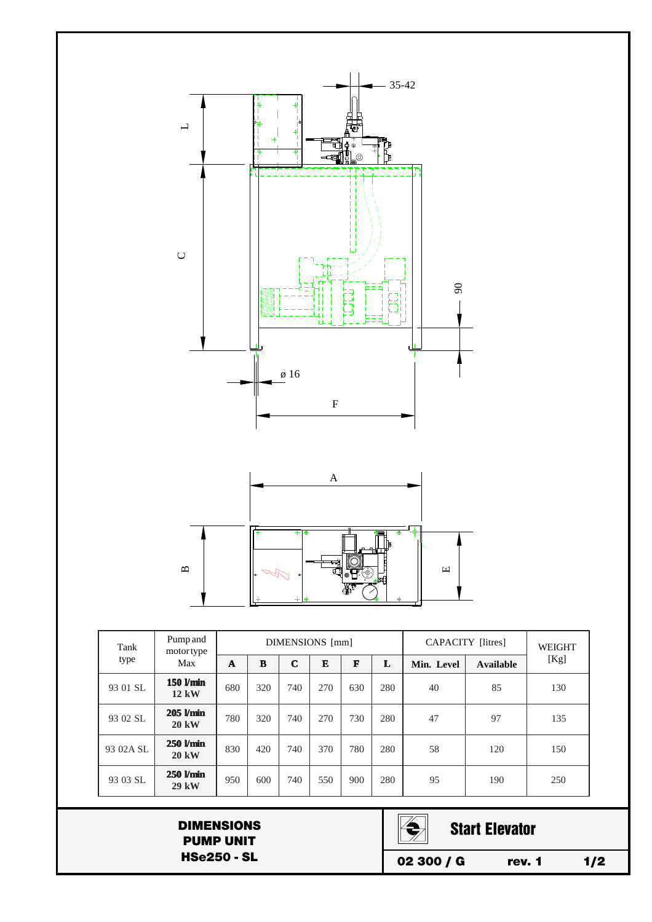

| Tank      | Pump and<br>motortype<br>Max    | DIMENSIONS [mm] |     |             |     |     |     | CAPACITY [litres] |           | <b>WEIGHT</b> |
|-----------|---------------------------------|-----------------|-----|-------------|-----|-----|-----|-------------------|-----------|---------------|
| type      |                                 | A               | R   | $\mathbf C$ | E   | F   | L   | Min. Level        | Available | [Kg]          |
| 93 01 SL  | 150 l/min<br>$12 \text{ kW}$    | 680             | 320 | 740         | 270 | 630 | 280 | 40                | 85        | 130           |
| 93 02 SL  | $205$ $Vmin$<br><b>20 kW</b>    | 780             | 320 | 740         | 270 | 730 | 280 | 47                | 97        | 135           |
| 93 02A SL | $250$ $Vmin$<br>$20 \text{ kW}$ | 830             | 420 | 740         | 370 | 780 | 280 | 58                | 120       | 150           |
| 93 03 SL  | 250 l/min<br>$29$ kW            | 950             | 600 | 740         | 550 | 900 | 280 | 95                | 190       | 250           |

DIMENSIONS PUMP UNIT HSe250 - SL



Start Elevator

02 300 / G rev. 1 1/2